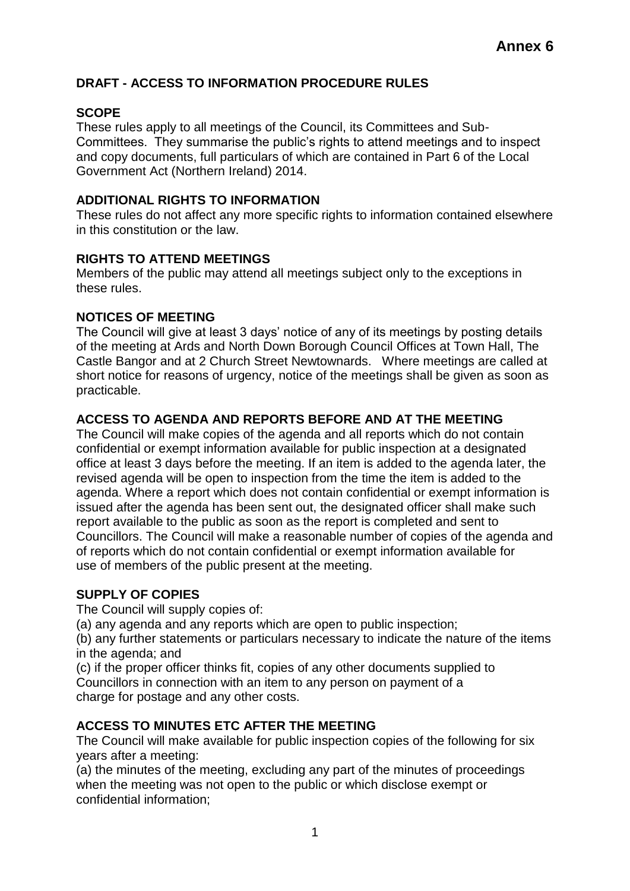# **DRAFT - ACCESS TO INFORMATION PROCEDURE RULES**

# **SCOPE**

These rules apply to all meetings of the Council, its Committees and Sub-Committees. They summarise the public's rights to attend meetings and to inspect and copy documents, full particulars of which are contained in Part 6 of the Local Government Act (Northern Ireland) 2014.

## **ADDITIONAL RIGHTS TO INFORMATION**

These rules do not affect any more specific rights to information contained elsewhere in this constitution or the law.

## **RIGHTS TO ATTEND MEETINGS**

Members of the public may attend all meetings subject only to the exceptions in these rules.

## **NOTICES OF MEETING**

The Council will give at least 3 days' notice of any of its meetings by posting details of the meeting at Ards and North Down Borough Council Offices at Town Hall, The Castle Bangor and at 2 Church Street Newtownards. Where meetings are called at short notice for reasons of urgency, notice of the meetings shall be given as soon as practicable.

## **ACCESS TO AGENDA AND REPORTS BEFORE AND AT THE MEETING**

The Council will make copies of the agenda and all reports which do not contain confidential or exempt information available for public inspection at a designated office at least 3 days before the meeting. If an item is added to the agenda later, the revised agenda will be open to inspection from the time the item is added to the agenda. Where a report which does not contain confidential or exempt information is issued after the agenda has been sent out, the designated officer shall make such report available to the public as soon as the report is completed and sent to Councillors. The Council will make a reasonable number of copies of the agenda and of reports which do not contain confidential or exempt information available for use of members of the public present at the meeting.

# **SUPPLY OF COPIES**

The Council will supply copies of:

(a) any agenda and any reports which are open to public inspection;

(b) any further statements or particulars necessary to indicate the nature of the items in the agenda; and

(c) if the proper officer thinks fit, copies of any other documents supplied to Councillors in connection with an item to any person on payment of a charge for postage and any other costs.

# **ACCESS TO MINUTES ETC AFTER THE MEETING**

The Council will make available for public inspection copies of the following for six years after a meeting:

(a) the minutes of the meeting, excluding any part of the minutes of proceedings when the meeting was not open to the public or which disclose exempt or confidential information;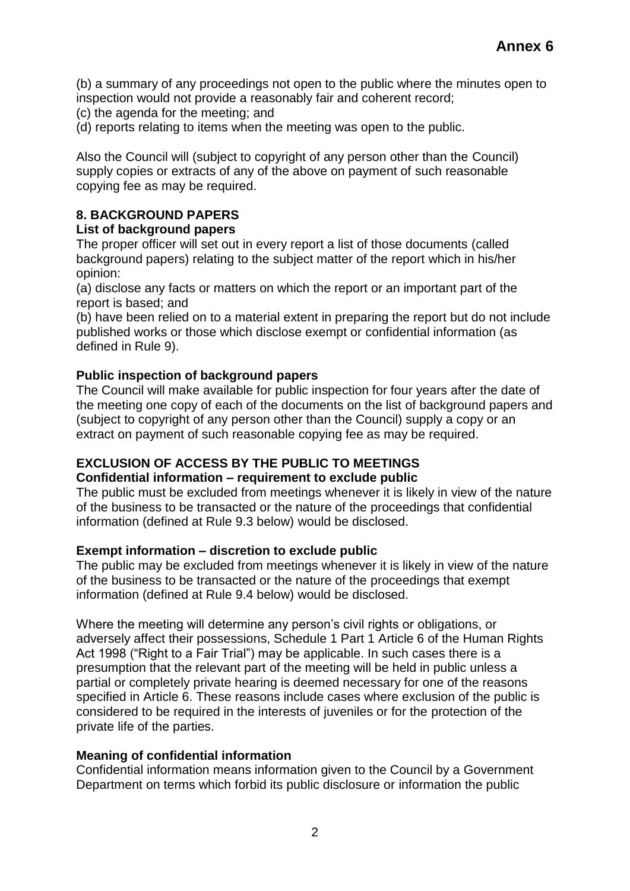(b) a summary of any proceedings not open to the public where the minutes open to inspection would not provide a reasonably fair and coherent record;

- (c) the agenda for the meeting; and
- (d) reports relating to items when the meeting was open to the public.

Also the Council will (subject to copyright of any person other than the Council) supply copies or extracts of any of the above on payment of such reasonable copying fee as may be required.

# **8. BACKGROUND PAPERS**

#### **List of background papers**

The proper officer will set out in every report a list of those documents (called background papers) relating to the subject matter of the report which in his/her opinion:

(a) disclose any facts or matters on which the report or an important part of the report is based; and

(b) have been relied on to a material extent in preparing the report but do not include published works or those which disclose exempt or confidential information (as defined in Rule 9).

## **Public inspection of background papers**

The Council will make available for public inspection for four years after the date of the meeting one copy of each of the documents on the list of background papers and (subject to copyright of any person other than the Council) supply a copy or an extract on payment of such reasonable copying fee as may be required.

#### **EXCLUSION OF ACCESS BY THE PUBLIC TO MEETINGS Confidential information – requirement to exclude public**

The public must be excluded from meetings whenever it is likely in view of the nature of the business to be transacted or the nature of the proceedings that confidential information (defined at Rule 9.3 below) would be disclosed.

## **Exempt information – discretion to exclude public**

The public may be excluded from meetings whenever it is likely in view of the nature of the business to be transacted or the nature of the proceedings that exempt information (defined at Rule 9.4 below) would be disclosed.

Where the meeting will determine any person's civil rights or obligations, or adversely affect their possessions, Schedule 1 Part 1 Article 6 of the Human Rights Act 1998 ("Right to a Fair Trial") may be applicable. In such cases there is a presumption that the relevant part of the meeting will be held in public unless a partial or completely private hearing is deemed necessary for one of the reasons specified in Article 6. These reasons include cases where exclusion of the public is considered to be required in the interests of juveniles or for the protection of the private life of the parties.

## **Meaning of confidential information**

Confidential information means information given to the Council by a Government Department on terms which forbid its public disclosure or information the public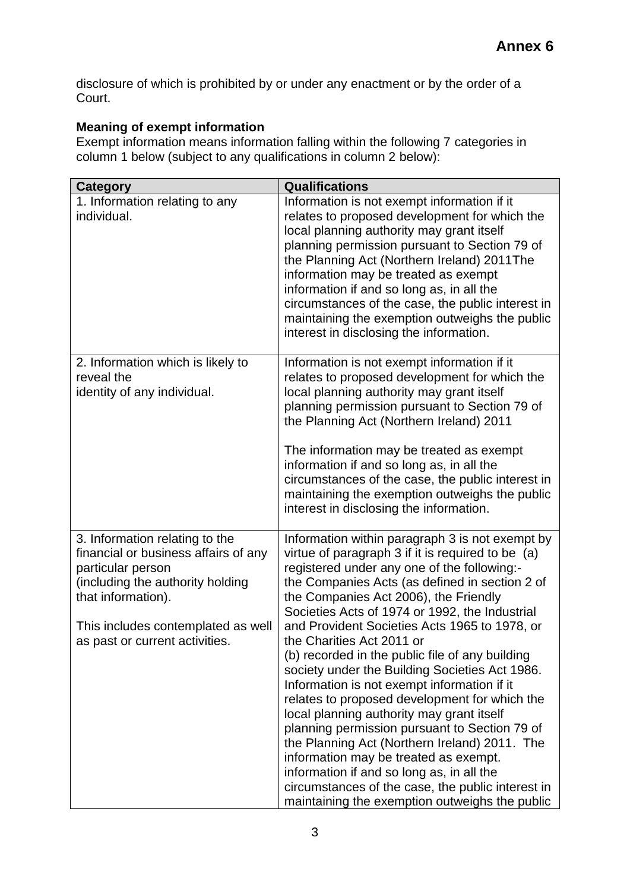disclosure of which is prohibited by or under any enactment or by the order of a Court.

# **Meaning of exempt information**

Exempt information means information falling within the following 7 categories in column 1 below (subject to any qualifications in column 2 below):

| <b>Category</b>                                                                                                                                                                                                               | <b>Qualifications</b>                                                                                                                                                                                                                                                                                                                                                                                                                                                                                                                                                                                                                                                                                                                                                                                                                                                                                                           |
|-------------------------------------------------------------------------------------------------------------------------------------------------------------------------------------------------------------------------------|---------------------------------------------------------------------------------------------------------------------------------------------------------------------------------------------------------------------------------------------------------------------------------------------------------------------------------------------------------------------------------------------------------------------------------------------------------------------------------------------------------------------------------------------------------------------------------------------------------------------------------------------------------------------------------------------------------------------------------------------------------------------------------------------------------------------------------------------------------------------------------------------------------------------------------|
| 1. Information relating to any<br>individual.                                                                                                                                                                                 | Information is not exempt information if it<br>relates to proposed development for which the<br>local planning authority may grant itself<br>planning permission pursuant to Section 79 of<br>the Planning Act (Northern Ireland) 2011The<br>information may be treated as exempt<br>information if and so long as, in all the<br>circumstances of the case, the public interest in<br>maintaining the exemption outweighs the public<br>interest in disclosing the information.                                                                                                                                                                                                                                                                                                                                                                                                                                                |
| 2. Information which is likely to<br>reveal the<br>identity of any individual.                                                                                                                                                | Information is not exempt information if it<br>relates to proposed development for which the<br>local planning authority may grant itself<br>planning permission pursuant to Section 79 of<br>the Planning Act (Northern Ireland) 2011<br>The information may be treated as exempt<br>information if and so long as, in all the<br>circumstances of the case, the public interest in<br>maintaining the exemption outweighs the public<br>interest in disclosing the information.                                                                                                                                                                                                                                                                                                                                                                                                                                               |
| 3. Information relating to the<br>financial or business affairs of any<br>particular person<br>(including the authority holding<br>that information).<br>This includes contemplated as well<br>as past or current activities. | Information within paragraph 3 is not exempt by<br>virtue of paragraph 3 if it is required to be (a)<br>registered under any one of the following:-<br>the Companies Acts (as defined in section 2 of<br>the Companies Act 2006), the Friendly<br>Societies Acts of 1974 or 1992, the Industrial<br>and Provident Societies Acts 1965 to 1978, or<br>the Charities Act 2011 or<br>(b) recorded in the public file of any building<br>society under the Building Societies Act 1986.<br>Information is not exempt information if it<br>relates to proposed development for which the<br>local planning authority may grant itself<br>planning permission pursuant to Section 79 of<br>the Planning Act (Northern Ireland) 2011. The<br>information may be treated as exempt.<br>information if and so long as, in all the<br>circumstances of the case, the public interest in<br>maintaining the exemption outweighs the public |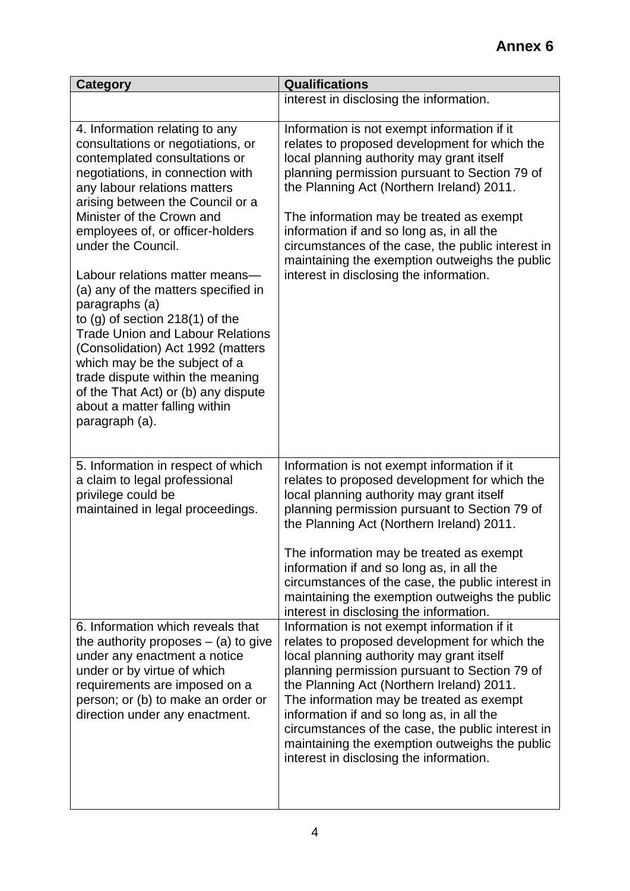| <b>Category</b>                                                                                                                                                                                                                                                                                                                                                                                                                                                                                                                                                                                                                                                                       | <b>Qualifications</b>                                                                                                                                                                                                                                                                                                                                                                                                                                                              |
|---------------------------------------------------------------------------------------------------------------------------------------------------------------------------------------------------------------------------------------------------------------------------------------------------------------------------------------------------------------------------------------------------------------------------------------------------------------------------------------------------------------------------------------------------------------------------------------------------------------------------------------------------------------------------------------|------------------------------------------------------------------------------------------------------------------------------------------------------------------------------------------------------------------------------------------------------------------------------------------------------------------------------------------------------------------------------------------------------------------------------------------------------------------------------------|
|                                                                                                                                                                                                                                                                                                                                                                                                                                                                                                                                                                                                                                                                                       | interest in disclosing the information.                                                                                                                                                                                                                                                                                                                                                                                                                                            |
| 4. Information relating to any<br>consultations or negotiations, or<br>contemplated consultations or<br>negotiations, in connection with<br>any labour relations matters<br>arising between the Council or a<br>Minister of the Crown and<br>employees of, or officer-holders<br>under the Council.<br>Labour relations matter means-<br>(a) any of the matters specified in<br>paragraphs (a)<br>to $(g)$ of section 218 $(1)$ of the<br><b>Trade Union and Labour Relations</b><br>(Consolidation) Act 1992 (matters<br>which may be the subject of a<br>trade dispute within the meaning<br>of the That Act) or (b) any dispute<br>about a matter falling within<br>paragraph (a). | Information is not exempt information if it<br>relates to proposed development for which the<br>local planning authority may grant itself<br>planning permission pursuant to Section 79 of<br>the Planning Act (Northern Ireland) 2011.<br>The information may be treated as exempt<br>information if and so long as, in all the<br>circumstances of the case, the public interest in<br>maintaining the exemption outweighs the public<br>interest in disclosing the information. |
| 5. Information in respect of which<br>a claim to legal professional<br>privilege could be<br>maintained in legal proceedings.                                                                                                                                                                                                                                                                                                                                                                                                                                                                                                                                                         | Information is not exempt information if it<br>relates to proposed development for which the<br>local planning authority may grant itself<br>planning permission pursuant to Section 79 of<br>the Planning Act (Northern Ireland) 2011.<br>The information may be treated as exempt<br>information if and so long as, in all the<br>circumstances of the case, the public interest in<br>maintaining the exemption outweighs the public<br>interest in disclosing the information. |
| 6. Information which reveals that<br>the authority proposes $-$ (a) to give<br>under any enactment a notice<br>under or by virtue of which<br>requirements are imposed on a<br>person; or (b) to make an order or<br>direction under any enactment.                                                                                                                                                                                                                                                                                                                                                                                                                                   | Information is not exempt information if it<br>relates to proposed development for which the<br>local planning authority may grant itself<br>planning permission pursuant to Section 79 of<br>the Planning Act (Northern Ireland) 2011.<br>The information may be treated as exempt<br>information if and so long as, in all the<br>circumstances of the case, the public interest in<br>maintaining the exemption outweighs the public<br>interest in disclosing the information. |